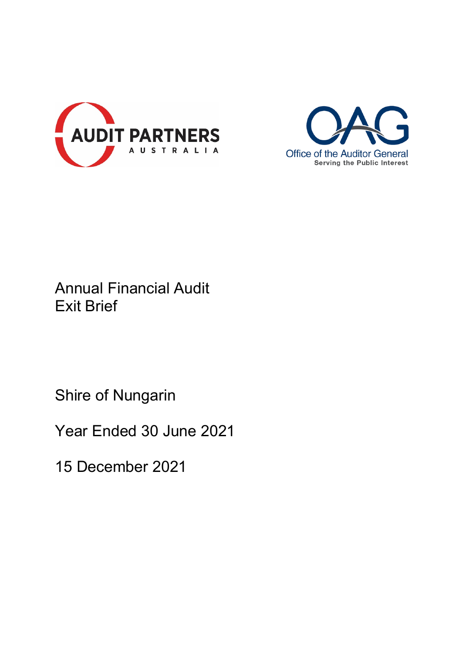



# Annual Financial Audit Exit Brief

Shire of Nungarin

Year Ended 30 June 2021

15 December 2021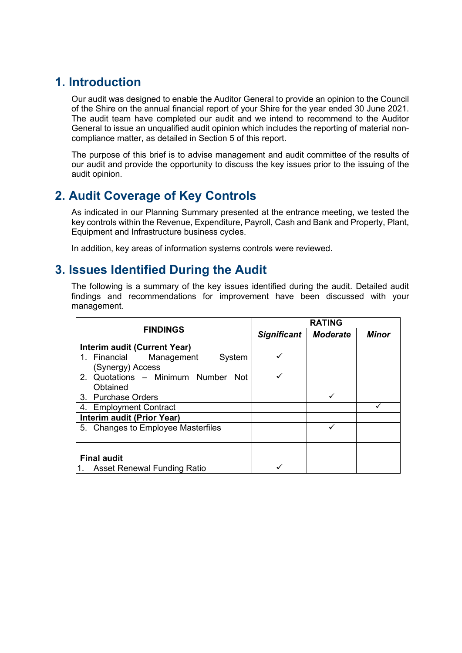## **1. Introduction**

Our audit was designed to enable the Auditor General to provide an opinion to the Council of the Shire on the annual financial report of your Shire for the year ended 30 June 2021. The audit team have completed our audit and we intend to recommend to the Auditor General to issue an unqualified audit opinion which includes the reporting of material noncompliance matter, as detailed in Section 5 of this report.

The purpose of this brief is to advise management and audit committee of the results of our audit and provide the opportunity to discuss the key issues prior to the issuing of the audit opinion.

# **2. Audit Coverage of Key Controls**

As indicated in our Planning Summary presented at the entrance meeting, we tested the key controls within the Revenue, Expenditure, Payroll, Cash and Bank and Property, Plant, Equipment and Infrastructure business cycles.

In addition, key areas of information systems controls were reviewed.

## **3. Issues Identified During the Audit**

The following is a summary of the key issues identified during the audit. Detailed audit findings and recommendations for improvement have been discussed with your management.

| <b>FINDINGS</b>                                                  | <b>RATING</b>      |                 |              |
|------------------------------------------------------------------|--------------------|-----------------|--------------|
|                                                                  | <b>Significant</b> | <b>Moderate</b> | <b>Minor</b> |
| Interim audit (Current Year)                                     |                    |                 |              |
| 1. Financial<br>Management<br>System<br>(Synergy) Access         |                    |                 |              |
| Quotations - Minimum Number<br>$2^{+}$<br><b>Not</b><br>Obtained |                    |                 |              |
| 3. Purchase Orders                                               |                    |                 |              |
| <b>Employment Contract</b><br>4.                                 |                    |                 |              |
| <b>Interim audit (Prior Year)</b>                                |                    |                 |              |
| 5. Changes to Employee Masterfiles                               |                    |                 |              |
|                                                                  |                    |                 |              |
| <b>Final audit</b>                                               |                    |                 |              |
| <b>Asset Renewal Funding Ratio</b>                               |                    |                 |              |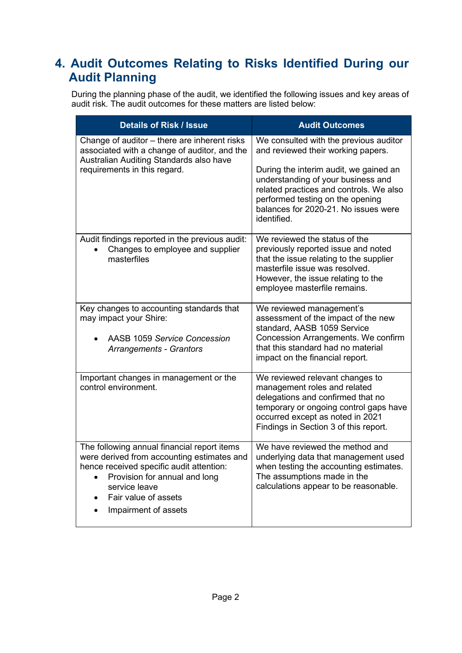# **4. Audit Outcomes Relating to Risks Identified During our Audit Planning**

During the planning phase of the audit, we identified the following issues and key areas of audit risk. The audit outcomes for these matters are listed below:

| <b>Details of Risk / Issue</b>                                                                                                                                                                                                                                    | <b>Audit Outcomes</b>                                                                                                                                                                                                                                                                              |
|-------------------------------------------------------------------------------------------------------------------------------------------------------------------------------------------------------------------------------------------------------------------|----------------------------------------------------------------------------------------------------------------------------------------------------------------------------------------------------------------------------------------------------------------------------------------------------|
| Change of auditor – there are inherent risks<br>associated with a change of auditor, and the<br>Australian Auditing Standards also have<br>requirements in this regard.                                                                                           | We consulted with the previous auditor<br>and reviewed their working papers.<br>During the interim audit, we gained an<br>understanding of your business and<br>related practices and controls. We also<br>performed testing on the opening<br>balances for 2020-21. No issues were<br>identified. |
| Audit findings reported in the previous audit:<br>Changes to employee and supplier<br>masterfiles                                                                                                                                                                 | We reviewed the status of the<br>previously reported issue and noted<br>that the issue relating to the supplier<br>masterfile issue was resolved.<br>However, the issue relating to the<br>employee masterfile remains.                                                                            |
| Key changes to accounting standards that<br>may impact your Shire:<br><b>AASB 1059 Service Concession</b><br>Arrangements - Grantors                                                                                                                              | We reviewed management's<br>assessment of the impact of the new<br>standard, AASB 1059 Service<br>Concession Arrangements. We confirm<br>that this standard had no material<br>impact on the financial report.                                                                                     |
| Important changes in management or the<br>control environment.                                                                                                                                                                                                    | We reviewed relevant changes to<br>management roles and related<br>delegations and confirmed that no<br>temporary or ongoing control gaps have<br>occurred except as noted in 2021<br>Findings in Section 3 of this report.                                                                        |
| The following annual financial report items<br>were derived from accounting estimates and<br>hence received specific audit attention:<br>Provision for annual and long<br>$\bullet$<br>service leave<br>Fair value of assets<br>$\bullet$<br>Impairment of assets | We have reviewed the method and<br>underlying data that management used<br>when testing the accounting estimates.<br>The assumptions made in the<br>calculations appear to be reasonable.                                                                                                          |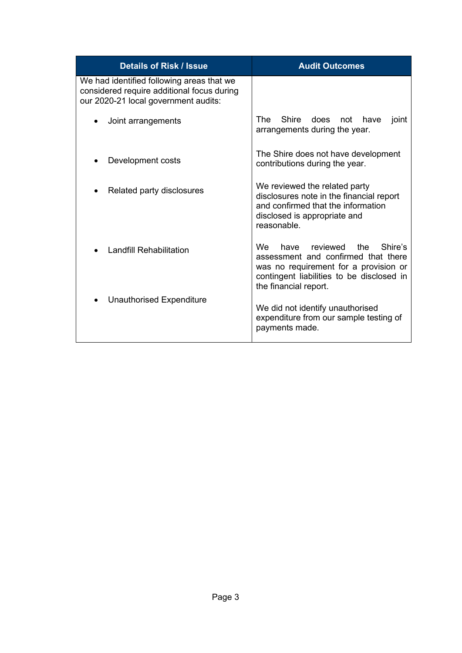| <b>Details of Risk / Issue</b>                                                                                                  | <b>Audit Outcomes</b>                                                                                                                                                                         |  |
|---------------------------------------------------------------------------------------------------------------------------------|-----------------------------------------------------------------------------------------------------------------------------------------------------------------------------------------------|--|
| We had identified following areas that we<br>considered require additional focus during<br>our 2020-21 local government audits: |                                                                                                                                                                                               |  |
| Joint arrangements                                                                                                              | The<br>Shire<br>does<br>not<br>have<br>joint<br>arrangements during the year.                                                                                                                 |  |
| Development costs                                                                                                               | The Shire does not have development<br>contributions during the year.                                                                                                                         |  |
| Related party disclosures                                                                                                       | We reviewed the related party<br>disclosures note in the financial report<br>and confirmed that the information<br>disclosed is appropriate and<br>reasonable.                                |  |
| <b>Landfill Rehabilitation</b>                                                                                                  | have reviewed<br>Shire's<br>We .<br>the<br>assessment and confirmed that there<br>was no requirement for a provision or<br>contingent liabilities to be disclosed in<br>the financial report. |  |
| Unauthorised Expenditure                                                                                                        | We did not identify unauthorised<br>expenditure from our sample testing of<br>payments made.                                                                                                  |  |